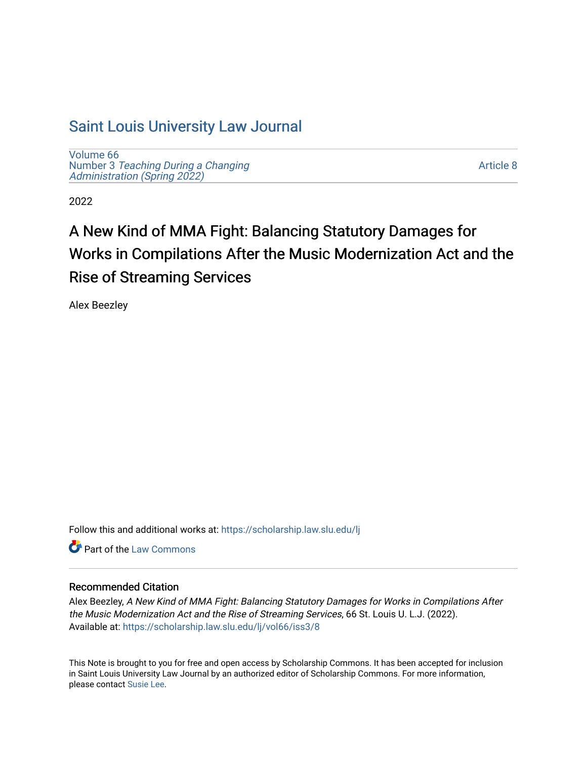## [Saint Louis University Law Journal](https://scholarship.law.slu.edu/lj)

[Volume 66](https://scholarship.law.slu.edu/lj/vol66) Number 3 [Teaching During a Changing](https://scholarship.law.slu.edu/lj/vol66/iss3)  Administration (Spring 2022)

[Article 8](https://scholarship.law.slu.edu/lj/vol66/iss3/8) 

2022

# A New Kind of MMA Fight: Balancing Statutory Damages for Works in Compilations After the Music Modernization Act and the Rise of Streaming Services

Alex Beezley

Follow this and additional works at: [https://scholarship.law.slu.edu/lj](https://scholarship.law.slu.edu/lj?utm_source=scholarship.law.slu.edu%2Flj%2Fvol66%2Fiss3%2F8&utm_medium=PDF&utm_campaign=PDFCoverPages) 

**C** Part of the [Law Commons](https://network.bepress.com/hgg/discipline/578?utm_source=scholarship.law.slu.edu%2Flj%2Fvol66%2Fiss3%2F8&utm_medium=PDF&utm_campaign=PDFCoverPages)

## Recommended Citation

Alex Beezley, A New Kind of MMA Fight: Balancing Statutory Damages for Works in Compilations After the Music Modernization Act and the Rise of Streaming Services, 66 St. Louis U. L.J. (2022). Available at: [https://scholarship.law.slu.edu/lj/vol66/iss3/8](https://scholarship.law.slu.edu/lj/vol66/iss3/8?utm_source=scholarship.law.slu.edu%2Flj%2Fvol66%2Fiss3%2F8&utm_medium=PDF&utm_campaign=PDFCoverPages) 

This Note is brought to you for free and open access by Scholarship Commons. It has been accepted for inclusion in Saint Louis University Law Journal by an authorized editor of Scholarship Commons. For more information, please contact [Susie Lee.](mailto:susie.lee@slu.edu)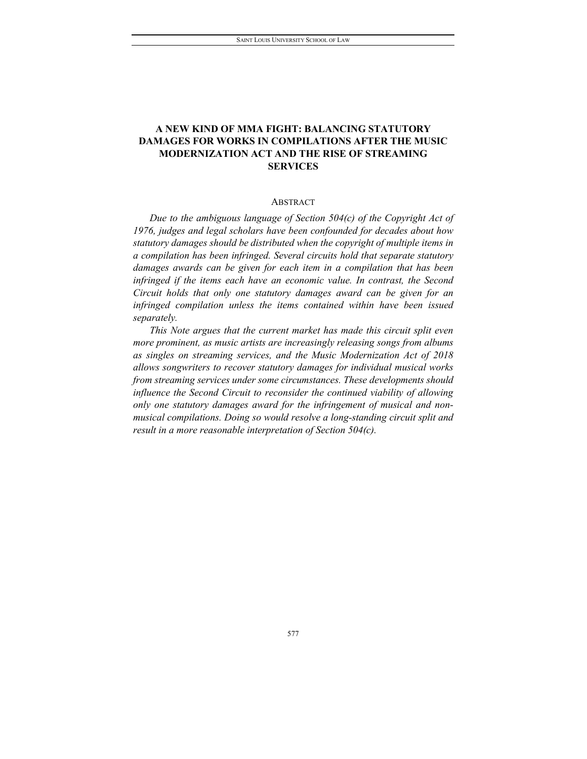## **A NEW KIND OF MMA FIGHT: BALANCING STATUTORY DAMAGES FOR WORKS IN COMPILATIONS AFTER THE MUSIC MODERNIZATION ACT AND THE RISE OF STREAMING SERVICES**

#### **ABSTRACT**

*Due to the ambiguous language of Section 504(c) of the Copyright Act of 1976, judges and legal scholars have been confounded for decades about how statutory damages should be distributed when the copyright of multiple items in a compilation has been infringed. Several circuits hold that separate statutory damages awards can be given for each item in a compilation that has been infringed if the items each have an economic value. In contrast, the Second Circuit holds that only one statutory damages award can be given for an infringed compilation unless the items contained within have been issued separately.*

*This Note argues that the current market has made this circuit split even more prominent, as music artists are increasingly releasing songs from albums as singles on streaming services, and the Music Modernization Act of 2018 allows songwriters to recover statutory damages for individual musical works from streaming services under some circumstances. These developments should influence the Second Circuit to reconsider the continued viability of allowing only one statutory damages award for the infringement of musical and nonmusical compilations. Doing so would resolve a long-standing circuit split and result in a more reasonable interpretation of Section 504(c).*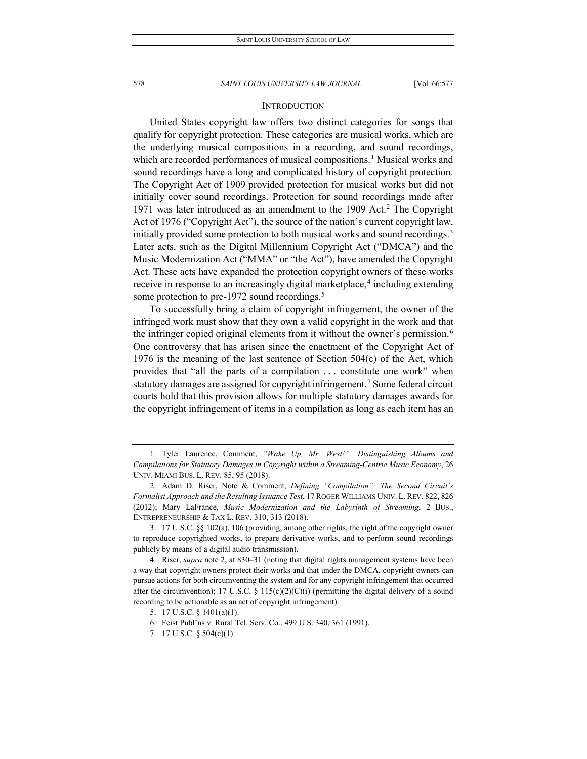#### **INTRODUCTION**

United States copyright law offers two distinct categories for songs that qualify for copyright protection. These categories are musical works, which are the underlying musical compositions in a recording, and sound recordings, which are recorded performances of musical compositions.<sup>[1](#page-2-0)</sup> Musical works and sound recordings have a long and complicated history of copyright protection. The Copyright Act of 1909 provided protection for musical works but did not initially cover sound recordings. Protection for sound recordings made after 1971 was later introduced as an amendment to the 1909 Act.[2](#page-2-1) The Copyright Act of 1976 ("Copyright Act"), the source of the nation's current copyright law, initially provided some protection to both musical works and sound recordings.<sup>3</sup> Later acts, such as the Digital Millennium Copyright Act ("DMCA") and the Music Modernization Act ("MMA" or "the Act"), have amended the Copyright Act. These acts have expanded the protection copyright owners of these works receive in response to an increasingly digital marketplace,<sup>[4](#page-2-3)</sup> including extending some protection to pre-1972 sound recordings.<sup>5</sup>

To successfully bring a claim of copyright infringement, the owner of the infringed work must show that they own a valid copyright in the work and that the infringer copied original elements from it without the owner's permission.<sup>[6](#page-2-5)</sup> One controversy that has arisen since the enactment of the Copyright Act of 1976 is the meaning of the last sentence of Section 504(c) of the Act, which provides that "all the parts of a compilation . . . constitute one work" when statutory damages are assigned for copyright infringement.<sup>[7](#page-2-6)</sup> Some federal circuit courts hold that this provision allows for multiple statutory damages awards for the copyright infringement of items in a compilation as long as each item has an

<span id="page-2-0"></span><sup>1.</sup> Tyler Laurence, Comment, *"Wake Up, Mr. West!": Distinguishing Albums and Compilations for Statutory Damages in Copyright within a Streaming-Centric Music Economy*, 26 UNIV. MIAMI BUS. L. REV. 85, 95 (2018).

<span id="page-2-1"></span><sup>2.</sup> Adam D. Riser, Note & Comment, *Defining "Compilation": The Second Circuit's Formalist Approach and the Resulting Issuance Test*, 17 ROGER WILLIAMS UNIV. L. REV. 822, 826 (2012); Mary LaFrance, *Music Modernization and the Labyrinth of Streaming*, 2 BUS., ENTREPRENEURSHIP & TAX L. REV. 310, 313 (2018).

<span id="page-2-2"></span><sup>3.</sup> 17 U.S.C. §§ 102(a), 106 (providing, among other rights, the right of the copyright owner to reproduce copyrighted works, to prepare derivative works, and to perform sound recordings publicly by means of a digital audio transmission).

<span id="page-2-5"></span><span id="page-2-4"></span><span id="page-2-3"></span><sup>4.</sup> Riser, *supra* note 2, at 830–31 (noting that digital rights management systems have been a way that copyright owners protect their works and that under the DMCA, copyright owners can pursue actions for both circumventing the system and for any copyright infringement that occurred after the circumvention); 17 U.S.C. § 115(c)(2)(C)(i) (permitting the digital delivery of a sound recording to be actionable as an act of copyright infringement).

<sup>5.</sup> 17 U.S.C. § 1401(a)(1).

<sup>6.</sup> Feist Publ'ns v. Rural Tel. Serv. Co., 499 U.S. 340, 361 (1991).

<span id="page-2-6"></span><sup>7.</sup> 17 U.S.C. § 504(c)(1).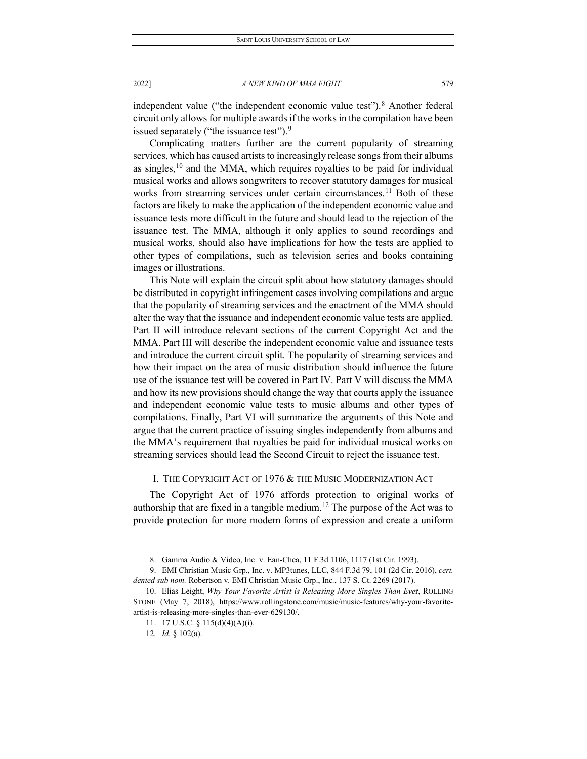independent value ("the independent economic value test").<sup>[8](#page-3-0)</sup> Another federal circuit only allows for multiple awards if the works in the compilation have been issued separately ("the issuance test").<sup>[9](#page-3-1)</sup>

Complicating matters further are the current popularity of streaming services, which has caused artists to increasingly release songs from their albums as singles, $10$  and the MMA, which requires royalties to be paid for individual musical works and allows songwriters to recover statutory damages for musical works from streaming services under certain circumstances.<sup>[11](#page-3-3)</sup> Both of these factors are likely to make the application of the independent economic value and issuance tests more difficult in the future and should lead to the rejection of the issuance test. The MMA, although it only applies to sound recordings and musical works, should also have implications for how the tests are applied to other types of compilations, such as television series and books containing images or illustrations.

This Note will explain the circuit split about how statutory damages should be distributed in copyright infringement cases involving compilations and argue that the popularity of streaming services and the enactment of the MMA should alter the way that the issuance and independent economic value tests are applied. Part II will introduce relevant sections of the current Copyright Act and the MMA. Part III will describe the independent economic value and issuance tests and introduce the current circuit split. The popularity of streaming services and how their impact on the area of music distribution should influence the future use of the issuance test will be covered in Part IV. Part V will discuss the MMA and how its new provisions should change the way that courts apply the issuance and independent economic value tests to music albums and other types of compilations. Finally, Part VI will summarize the arguments of this Note and argue that the current practice of issuing singles independently from albums and the MMA's requirement that royalties be paid for individual musical works on streaming services should lead the Second Circuit to reject the issuance test.

## I. THE COPYRIGHT ACT OF 1976 & THE MUSIC MODERNIZATION ACT

The Copyright Act of 1976 affords protection to original works of authorship that are fixed in a tangible medium.<sup>[12](#page-3-4)</sup> The purpose of the Act was to provide protection for more modern forms of expression and create a uniform

<sup>8.</sup> Gamma Audio & Video, Inc. v. Ean-Chea, 11 F.3d 1106, 1117 (1st Cir. 1993).

<span id="page-3-1"></span><span id="page-3-0"></span><sup>9.</sup> EMI Christian Music Grp., Inc. v. MP3tunes, LLC, 844 F.3d 79, 101 (2d Cir. 2016), *cert. denied sub nom.* Robertson v. EMI Christian Music Grp., Inc*.*, 137 S. Ct. 2269 (2017).

<span id="page-3-4"></span><span id="page-3-3"></span><span id="page-3-2"></span><sup>10.</sup> Elias Leight, *Why Your Favorite Artist is Releasing More Singles Than Eve*r, ROLLING STONE (May 7, 2018), https://www.rollingstone.com/music/music-features/why-your-favoriteartist-is-releasing-more-singles-than-ever-629130/.

<sup>11.</sup> 17 U.S.C. § 115(d)(4)(A)(i).

<sup>12</sup>*. Id.* § 102(a).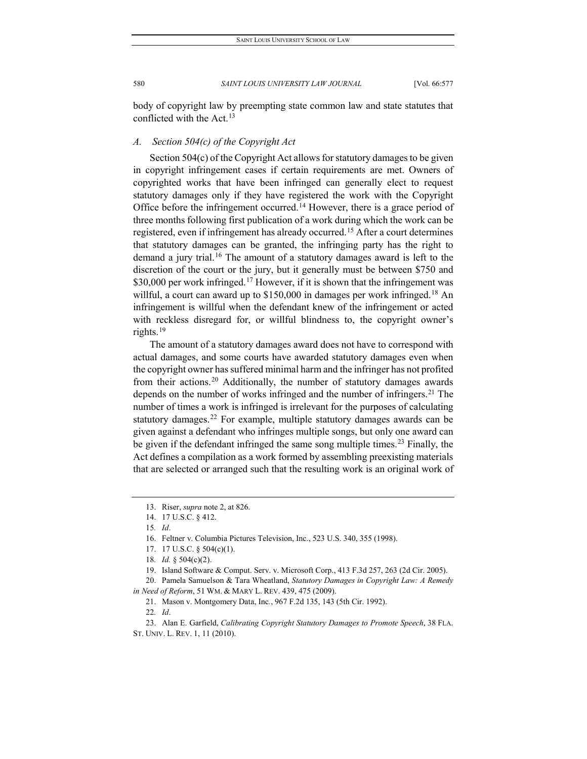body of copyright law by preempting state common law and state statutes that conflicted with the Act.<sup>[13](#page-4-0)</sup>

## *A. Section 504(c) of the Copyright Act*

Section 504(c) of the Copyright Act allows for statutory damages to be given in copyright infringement cases if certain requirements are met. Owners of copyrighted works that have been infringed can generally elect to request statutory damages only if they have registered the work with the Copyright Office before the infringement occurred.<sup>[14](#page-4-1)</sup> However, there is a grace period of three months following first publication of a work during which the work can be registered, even if infringement has already occurred.[15](#page-4-2) After a court determines that statutory damages can be granted, the infringing party has the right to demand a jury trial.<sup>[16](#page-4-3)</sup> The amount of a statutory damages award is left to the discretion of the court or the jury, but it generally must be between \$750 and  $$30,000$  per work infringed.<sup>[17](#page-4-4)</sup> However, if it is shown that the infringement was willful, a court can award up to \$150,000 in damages per work infringed.<sup>[18](#page-4-5)</sup> An infringement is willful when the defendant knew of the infringement or acted with reckless disregard for, or willful blindness to, the copyright owner's rights.[19](#page-4-6)

The amount of a statutory damages award does not have to correspond with actual damages, and some courts have awarded statutory damages even when the copyright owner has suffered minimal harm and the infringer has not profited from their actions.[20](#page-4-7) Additionally, the number of statutory damages awards depends on the number of works infringed and the number of infringers.<sup>[21](#page-4-8)</sup> The number of times a work is infringed is irrelevant for the purposes of calculating statutory damages.<sup>[22](#page-4-9)</sup> For example, multiple statutory damages awards can be given against a defendant who infringes multiple songs, but only one award can be given if the defendant infringed the same song multiple times.<sup>[23](#page-4-10)</sup> Finally, the Act defines a compilation as a work formed by assembling preexisting materials that are selected or arranged such that the resulting work is an original work of

21. Mason v. Montgomery Data, Inc*.*, 967 F.2d 135, 143 (5th Cir. 1992).

22*. Id*.

<span id="page-4-10"></span><span id="page-4-9"></span>23. Alan E. Garfield, *Calibrating Copyright Statutory Damages to Promote Speech*, 38 FLA. ST. UNIV. L. REV. 1, 11 (2010).

<span id="page-4-0"></span><sup>13.</sup> Riser, *supra* note 2, at 826.

<span id="page-4-1"></span><sup>14.</sup> 17 U.S.C. § 412.

<sup>15</sup>*. Id*.

<sup>16.</sup> Feltner v. Columbia Pictures Television, Inc., 523 U.S. 340, 355 (1998).

<sup>17.</sup> 17 U.S.C. § 504(c)(1).

<sup>18</sup>*. Id.* § 504(c)(2).

<sup>19.</sup> Island Software & Comput. Serv. v. Microsoft Corp., 413 F.3d 257, 263 (2d Cir. 2005).

<span id="page-4-8"></span><span id="page-4-7"></span><span id="page-4-6"></span><span id="page-4-5"></span><span id="page-4-4"></span><span id="page-4-3"></span><span id="page-4-2"></span><sup>20.</sup> Pamela Samuelson & Tara Wheatland, *Statutory Damages in Copyright Law: A Remedy in Need of Reform*, 51 WM. & MARY L. REV. 439, 475 (2009).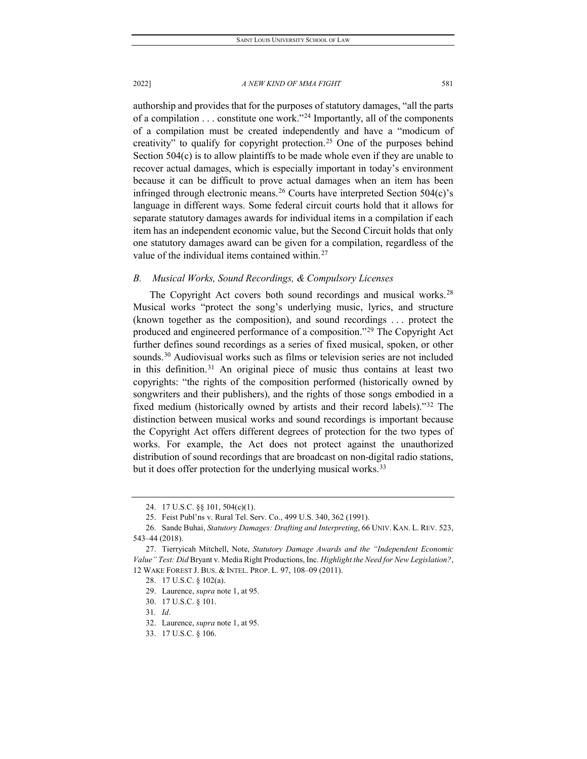authorship and provides that for the purposes of statutory damages, "all the parts

of a compilation  $\dots$  constitute one work."<sup>[24](#page-5-0)</sup> Importantly, all of the components of a compilation must be created independently and have a "modicum of creativity" to qualify for copyright protection.<sup>[25](#page-5-1)</sup> One of the purposes behind Section 504(c) is to allow plaintiffs to be made whole even if they are unable to recover actual damages, which is especially important in today's environment because it can be difficult to prove actual damages when an item has been infringed through electronic means.<sup>[26](#page-5-2)</sup> Courts have interpreted Section  $504(c)$ 's language in different ways. Some federal circuit courts hold that it allows for separate statutory damages awards for individual items in a compilation if each item has an independent economic value, but the Second Circuit holds that only one statutory damages award can be given for a compilation, regardless of the value of the individual items contained within.<sup>[27](#page-5-3)</sup>

## *B. Musical Works, Sound Recordings, & Compulsory Licenses*

The Copyright Act covers both sound recordings and musical works.<sup>[28](#page-5-4)</sup> Musical works "protect the song's underlying music, lyrics, and structure (known together as the composition), and sound recordings . . . protect the produced and engineered performance of a composition."[29](#page-5-5) The Copyright Act further defines sound recordings as a series of fixed musical, spoken, or other sounds.<sup>[30](#page-5-6)</sup> Audiovisual works such as films or television series are not included in this definition.[31](#page-5-7) An original piece of music thus contains at least two copyrights: "the rights of the composition performed (historically owned by songwriters and their publishers), and the rights of those songs embodied in a fixed medium (historically owned by artists and their record labels)."[32](#page-5-8) The distinction between musical works and sound recordings is important because the Copyright Act offers different degrees of protection for the two types of works. For example, the Act does not protect against the unauthorized distribution of sound recordings that are broadcast on non-digital radio stations, but it does offer protection for the underlying musical works.<sup>[33](#page-5-9)</sup>

<sup>24.</sup> 17 U.S.C. §§ 101, 504(c)(1).

<sup>25.</sup> Feist Publ'ns v. Rural Tel. Serv. Co., 499 U.S. 340, 362 (1991).

<span id="page-5-2"></span><span id="page-5-1"></span><span id="page-5-0"></span><sup>26.</sup> Sande Buhai, *Statutory Damages: Drafting and Interpreting*, 66 UNIV. KAN. L. REV. 523, 543–44 (2018).

<span id="page-5-6"></span><span id="page-5-5"></span><span id="page-5-4"></span><span id="page-5-3"></span><sup>27.</sup> Tierryicah Mitchell, Note, *Statutory Damage Awards and the "Independent Economic Value" Test: Did* Bryant v. Media Right Productions, Inc. *Highlight the Need for New Legislation?*, 12 WAKE FOREST J. BUS. & INTEL. PROP. L. 97, 108–09 (2011).

<sup>28.</sup> 17 U.S.C. § 102(a).

<sup>29.</sup> Laurence, *supra* note 1, at 95.

<sup>30.</sup> 17 U.S.C. § 101.

<span id="page-5-7"></span><sup>31</sup>*. Id*.

<span id="page-5-8"></span><sup>32.</sup> Laurence, *supra* note 1, at 95.

<span id="page-5-9"></span><sup>33.</sup> 17 U.S.C. § 106.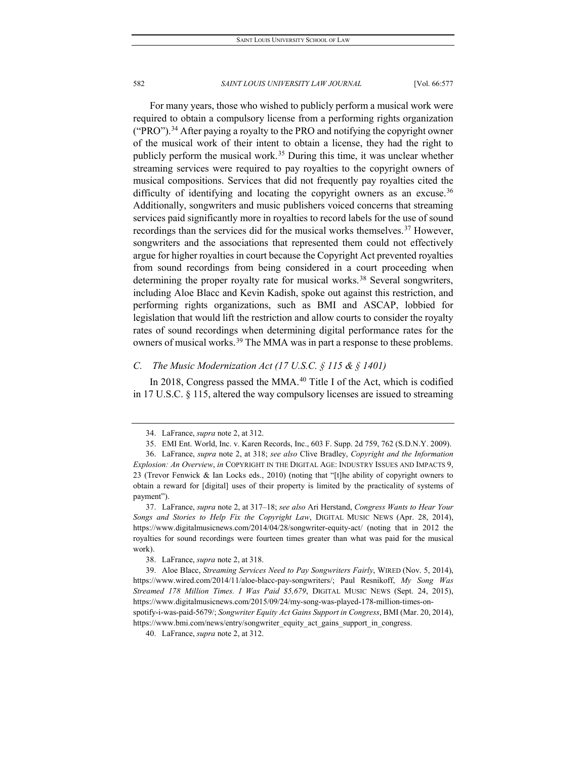For many years, those who wished to publicly perform a musical work were required to obtain a compulsory license from a performing rights organization ("PRO").<sup>[34](#page-6-0)</sup> After paying a royalty to the PRO and notifying the copyright owner of the musical work of their intent to obtain a license, they had the right to publicly perform the musical work.<sup>[35](#page-6-1)</sup> During this time, it was unclear whether streaming services were required to pay royalties to the copyright owners of musical compositions. Services that did not frequently pay royalties cited the difficulty of identifying and locating the copyright owners as an excuse.<sup>[36](#page-6-2)</sup> Additionally, songwriters and music publishers voiced concerns that streaming services paid significantly more in royalties to record labels for the use of sound recordings than the services did for the musical works themselves.<sup>[37](#page-6-3)</sup> However, songwriters and the associations that represented them could not effectively argue for higher royalties in court because the Copyright Act prevented royalties from sound recordings from being considered in a court proceeding when determining the proper royalty rate for musical works.<sup>[38](#page-6-4)</sup> Several songwriters, including Aloe Blacc and Kevin Kadish, spoke out against this restriction, and performing rights organizations, such as BMI and ASCAP, lobbied for legislation that would lift the restriction and allow courts to consider the royalty rates of sound recordings when determining digital performance rates for the owners of musical works.<sup>[39](#page-6-5)</sup> The MMA was in part a response to these problems.

## *C. The Music Modernization Act (17 U.S.C. § 115 & § 1401)*

In 2018, Congress passed the MMA.<sup>[40](#page-6-6)</sup> Title I of the Act, which is codified in 17 U.S.C. § 115, altered the way compulsory licenses are issued to streaming

<span id="page-6-3"></span>37. LaFrance, *supra* note 2, at 317–18; *see also* Ari Herstand, *Congress Wants to Hear Your Songs and Stories to Help Fix the Copyright Law*, DIGITAL MUSIC NEWS (Apr. 28, 2014), https://www.digitalmusicnews.com/2014/04/28/songwriter-equity-act/ (noting that in 2012 the royalties for sound recordings were fourteen times greater than what was paid for the musical work).

<span id="page-6-6"></span>https://www.bmi.com/news/entry/songwriter\_equity\_act\_gains\_support\_in\_congress.

<sup>34.</sup> LaFrance, *supra* note 2, at 312.

<sup>35.</sup> EMI Ent. World, Inc. v. Karen Records, Inc., 603 F. Supp. 2d 759, 762 (S.D.N.Y. 2009).

<span id="page-6-2"></span><span id="page-6-1"></span><span id="page-6-0"></span><sup>36.</sup> LaFrance, *supra* note 2, at 318; *see also* Clive Bradley, *Copyright and the Information Explosion: An Overview*, *in* COPYRIGHT IN THE DIGITAL AGE: INDUSTRY ISSUES AND IMPACTS 9, 23 (Trevor Fenwick & Ian Locks eds., 2010) (noting that "[t]he ability of copyright owners to obtain a reward for [digital] uses of their property is limited by the practicality of systems of payment").

<sup>38.</sup> LaFrance, *supra* note 2, at 318.

<span id="page-6-5"></span><span id="page-6-4"></span><sup>39.</sup> Aloe Blacc, *Streaming Services Need to Pay Songwriters Fairly*, WIRED (Nov. 5, 2014), https://www.wired.com/2014/11/aloe-blacc-pay-songwriters/; Paul Resnikoff, *My Song Was Streamed 178 Million Times. I Was Paid \$5,679*, DIGITAL MUSIC NEWS (Sept. 24, 2015), https://www.digitalmusicnews.com/2015/09/24/my-song-was-played-178-million-times-onspotify-i-was-paid-5679/; *Songwriter Equity Act Gains Support in Congress*, BMI (Mar. 20, 2014),

<sup>40.</sup> LaFrance, *supra* note 2, at 312.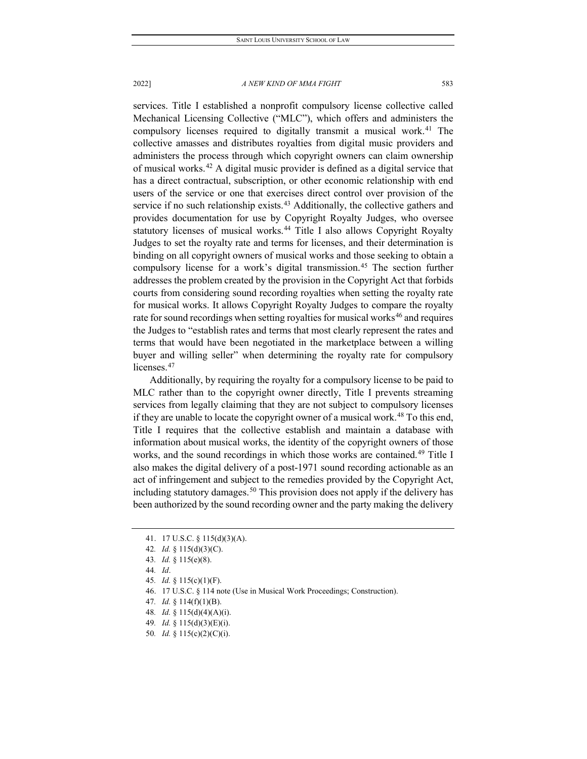services. Title I established a nonprofit compulsory license collective called Mechanical Licensing Collective ("MLC"), which offers and administers the compulsory licenses required to digitally transmit a musical work.<sup>[41](#page-7-0)</sup> The collective amasses and distributes royalties from digital music providers and administers the process through which copyright owners can claim ownership of musical works.[42](#page-7-1) A digital music provider is defined as a digital service that has a direct contractual, subscription, or other economic relationship with end users of the service or one that exercises direct control over provision of the service if no such relationship exists. $43$  Additionally, the collective gathers and provides documentation for use by Copyright Royalty Judges, who oversee statutory licenses of musical works.<sup>[44](#page-7-3)</sup> Title I also allows Copyright Royalty Judges to set the royalty rate and terms for licenses, and their determination is binding on all copyright owners of musical works and those seeking to obtain a compulsory license for a work's digital transmission.<sup>[45](#page-7-4)</sup> The section further addresses the problem created by the provision in the Copyright Act that forbids courts from considering sound recording royalties when setting the royalty rate for musical works. It allows Copyright Royalty Judges to compare the royalty rate for sound recordings when setting royalties for musical works<sup>[46](#page-7-5)</sup> and requires the Judges to "establish rates and terms that most clearly represent the rates and terms that would have been negotiated in the marketplace between a willing buyer and willing seller" when determining the royalty rate for compulsory licenses.<sup>[47](#page-7-6)</sup>

Additionally, by requiring the royalty for a compulsory license to be paid to MLC rather than to the copyright owner directly, Title I prevents streaming services from legally claiming that they are not subject to compulsory licenses if they are unable to locate the copyright owner of a musical work.<sup>[48](#page-7-7)</sup> To this end, Title I requires that the collective establish and maintain a database with information about musical works, the identity of the copyright owners of those works, and the sound recordings in which those works are contained.<sup>[49](#page-7-8)</sup> Title I also makes the digital delivery of a post-1971 sound recording actionable as an act of infringement and subject to the remedies provided by the Copyright Act, including statutory damages.<sup>[50](#page-7-9)</sup> This provision does not apply if the delivery has been authorized by the sound recording owner and the party making the delivery

<span id="page-7-7"></span>48*. Id.* § 115(d)(4)(A)(i).

<sup>41.</sup> 17 U.S.C. § 115(d)(3)(A).

<span id="page-7-1"></span><span id="page-7-0"></span><sup>42</sup>*. Id.* § 115(d)(3)(C).

<span id="page-7-3"></span><span id="page-7-2"></span><sup>43</sup>*. Id.* § 115(e)(8).

<sup>44</sup>*. Id*.

<span id="page-7-4"></span><sup>45</sup>*. Id.* § 115(c)(1)(F).

<sup>46.</sup> 17 U.S.C. § 114 note (Use in Musical Work Proceedings; Construction).

<span id="page-7-6"></span><span id="page-7-5"></span><sup>47</sup>*. Id.* § 114(f)(1)(B).

<span id="page-7-9"></span><span id="page-7-8"></span><sup>49</sup>*. Id.* § 115(d)(3)(E)(i).

<sup>50</sup>*. Id.* § 115(c)(2)(C)(i).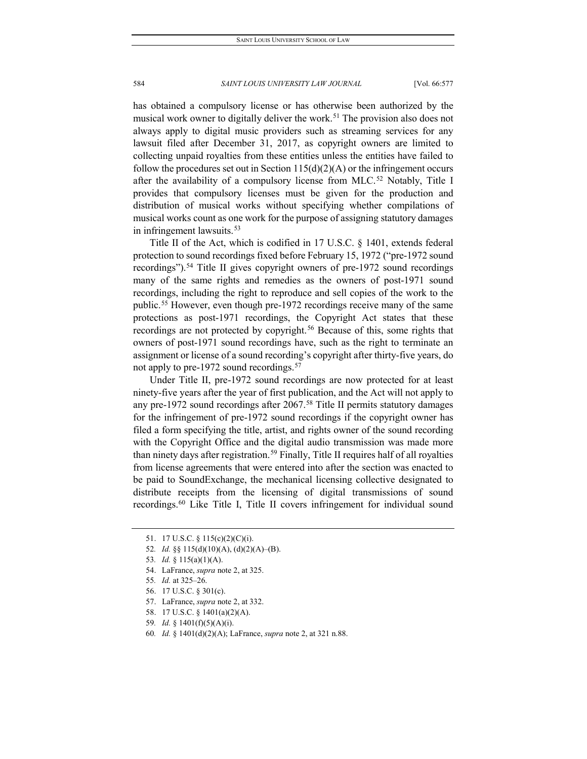has obtained a compulsory license or has otherwise been authorized by the musical work owner to digitally deliver the work.<sup>[51](#page-8-0)</sup> The provision also does not always apply to digital music providers such as streaming services for any lawsuit filed after December 31, 2017, as copyright owners are limited to collecting unpaid royalties from these entities unless the entities have failed to follow the procedures set out in Section  $115(d)(2)(A)$  or the infringement occurs after the availability of a compulsory license from MLC.<sup>[52](#page-8-1)</sup> Notably, Title I provides that compulsory licenses must be given for the production and distribution of musical works without specifying whether compilations of musical works count as one work for the purpose of assigning statutory damages in infringement lawsuits.<sup>[53](#page-8-2)</sup>

Title II of the Act, which is codified in 17 U.S.C. § 1401, extends federal protection to sound recordings fixed before February 15, 1972 ("pre-1972 sound recordings").<sup>[54](#page-8-3)</sup> Title II gives copyright owners of pre-1972 sound recordings many of the same rights and remedies as the owners of post-1971 sound recordings, including the right to reproduce and sell copies of the work to the public.<sup>[55](#page-8-4)</sup> However, even though pre-1972 recordings receive many of the same protections as post-1971 recordings, the Copyright Act states that these recordings are not protected by copyright.<sup>[56](#page-8-5)</sup> Because of this, some rights that owners of post-1971 sound recordings have, such as the right to terminate an assignment or license of a sound recording's copyright after thirty-five years, do not apply to pre-1972 sound recordings.<sup>57</sup>

Under Title II, pre-1972 sound recordings are now protected for at least ninety-five years after the year of first publication, and the Act will not apply to any pre-1972 sound recordings after 2067.<sup>58</sup> Title II permits statutory damages for the infringement of pre-1972 sound recordings if the copyright owner has filed a form specifying the title, artist, and rights owner of the sound recording with the Copyright Office and the digital audio transmission was made more than ninety days after registration.<sup>[59](#page-8-8)</sup> Finally, Title II requires half of all royalties from license agreements that were entered into after the section was enacted to be paid to SoundExchange, the mechanical licensing collective designated to distribute receipts from the licensing of digital transmissions of sound recordings.[60](#page-8-9) Like Title I, Title II covers infringement for individual sound

60*. Id.* § 1401(d)(2)(A); LaFrance, *supra* note 2, at 321 n.88.

<span id="page-8-0"></span><sup>51.</sup> 17 U.S.C. § 115(c)(2)(C)(i).

<span id="page-8-1"></span><sup>52</sup>*. Id.* §§ 115(d)(10)(A), (d)(2)(A)–(B).

<span id="page-8-2"></span><sup>53</sup>*. Id.* § 115(a)(1)(A).

<span id="page-8-3"></span><sup>54.</sup> LaFrance, *supra* note 2, at 325.

<span id="page-8-4"></span><sup>55</sup>*. Id.* at 325–26.

<span id="page-8-5"></span><sup>56.</sup> 17 U.S.C. § 301(c).

<span id="page-8-6"></span><sup>57.</sup> LaFrance, *supra* note 2, at 332.

<sup>58.</sup> 17 U.S.C. § 1401(a)(2)(A).

<span id="page-8-9"></span><span id="page-8-8"></span><span id="page-8-7"></span><sup>59</sup>*. Id.* § 1401(f)(5)(A)(i).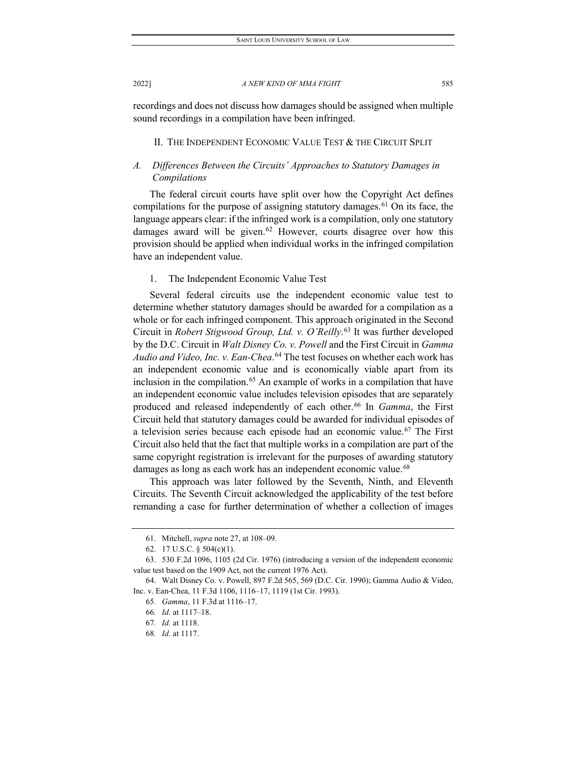recordings and does not discuss how damages should be assigned when multiple sound recordings in a compilation have been infringed.

#### II. THE INDEPENDENT ECONOMIC VALUE TEST & THE CIRCUIT SPLIT

## *A. Differences Between the Circuits' Approaches to Statutory Damages in Compilations*

The federal circuit courts have split over how the Copyright Act defines compilations for the purpose of assigning statutory damages.<sup>[61](#page-9-0)</sup> On its face, the language appears clear: if the infringed work is a compilation, only one statutory damages award will be given.<sup>[62](#page-9-1)</sup> However, courts disagree over how this provision should be applied when individual works in the infringed compilation have an independent value.

## 1. The Independent Economic Value Test

Several federal circuits use the independent economic value test to determine whether statutory damages should be awarded for a compilation as a whole or for each infringed component. This approach originated in the Second Circuit in *Robert Stigwood Group, Ltd. v. O'Reilly*. [63](#page-9-2) It was further developed by the D.C. Circuit in *Walt Disney Co. v. Powell* and the First Circuit in *Gamma Audio and Video, Inc. v. Ean-Chea*. [64](#page-9-3) The test focuses on whether each work has an independent economic value and is economically viable apart from its inclusion in the compilation.<sup>[65](#page-9-4)</sup> An example of works in a compilation that have an independent economic value includes television episodes that are separately produced and released independently of each other.<sup>[66](#page-9-5)</sup> In *Gamma*, the First Circuit held that statutory damages could be awarded for individual episodes of a television series because each episode had an economic value.<sup>[67](#page-9-6)</sup> The First Circuit also held that the fact that multiple works in a compilation are part of the same copyright registration is irrelevant for the purposes of awarding statutory damages as long as each work has an independent economic value.<sup>[68](#page-9-7)</sup>

This approach was later followed by the Seventh, Ninth, and Eleventh Circuits. The Seventh Circuit acknowledged the applicability of the test before remanding a case for further determination of whether a collection of images

<sup>61.</sup> Mitchell, *supra* note 27, at 108–09.

<sup>62.</sup> 17 U.S.C. § 504(c)(1).

<span id="page-9-2"></span><span id="page-9-1"></span><span id="page-9-0"></span><sup>63.</sup> 530 F.2d 1096, 1105 (2d Cir. 1976) (introducing a version of the independent economic value test based on the 1909 Act, not the current 1976 Act).

<span id="page-9-7"></span><span id="page-9-6"></span><span id="page-9-5"></span><span id="page-9-4"></span><span id="page-9-3"></span><sup>64.</sup> Walt Disney Co. v. Powell, 897 F.2d 565, 569 (D.C. Cir. 1990); Gamma Audio & Video, Inc. v. Ean-Chea, 11 F.3d 1106, 1116–17, 1119 (1st Cir. 1993).

<sup>65</sup>*. Gamma*, 11 F.3d at 1116–17.

<sup>66</sup>*. Id.* at 1117–18.

<sup>67</sup>*. Id.* at 1118.

<sup>68</sup>*. Id.* at 1117.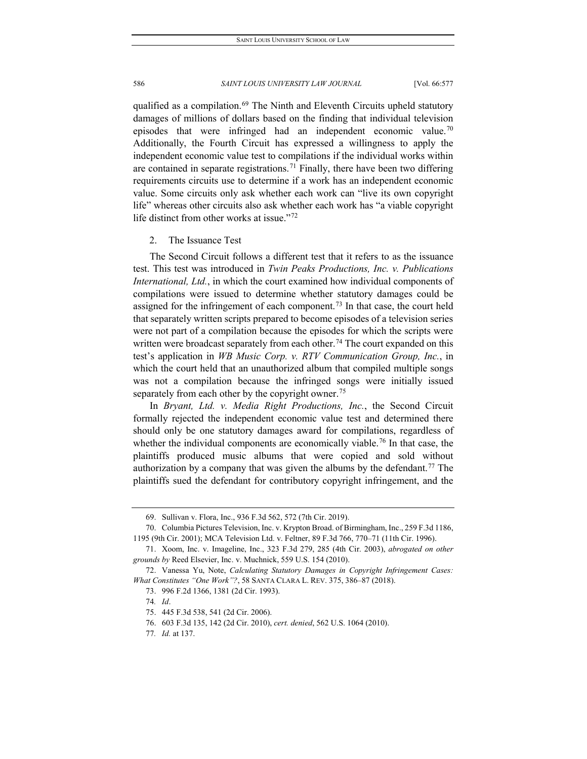qualified as a compilation.<sup>69</sup> The Ninth and Eleventh Circuits upheld statutory damages of millions of dollars based on the finding that individual television episodes that were infringed had an independent economic value.<sup>[70](#page-10-1)</sup> Additionally, the Fourth Circuit has expressed a willingness to apply the independent economic value test to compilations if the individual works within are contained in separate registrations.<sup>[71](#page-10-2)</sup> Finally, there have been two differing requirements circuits use to determine if a work has an independent economic value. Some circuits only ask whether each work can "live its own copyright life" whereas other circuits also ask whether each work has "a viable copyright life distinct from other works at issue."[72](#page-10-3)

#### 2. The Issuance Test

The Second Circuit follows a different test that it refers to as the issuance test. This test was introduced in *Twin Peaks Productions, Inc. v. Publications International, Ltd.*, in which the court examined how individual components of compilations were issued to determine whether statutory damages could be assigned for the infringement of each component.<sup>[73](#page-10-4)</sup> In that case, the court held that separately written scripts prepared to become episodes of a television series were not part of a compilation because the episodes for which the scripts were written were broadcast separately from each other.<sup>[74](#page-10-5)</sup> The court expanded on this test's application in *WB Music Corp. v. RTV Communication Group, Inc.*, in which the court held that an unauthorized album that compiled multiple songs was not a compilation because the infringed songs were initially issued separately from each other by the copyright owner.<sup>[75](#page-10-6)</sup>

In *Bryant, Ltd. v. Media Right Productions, Inc.*, the Second Circuit formally rejected the independent economic value test and determined there should only be one statutory damages award for compilations, regardless of whether the individual components are economically viable.<sup>[76](#page-10-7)</sup> In that case, the plaintiffs produced music albums that were copied and sold without authorization by a company that was given the albums by the defendant.<sup>[77](#page-10-8)</sup> The plaintiffs sued the defendant for contributory copyright infringement, and the

- 73. 996 F.2d 1366, 1381 (2d Cir. 1993).
- 74*. Id*.

<span id="page-10-8"></span>77*. Id.* at 137.

<sup>69.</sup> Sullivan v. Flora, Inc., 936 F.3d 562, 572 (7th Cir. 2019).

<span id="page-10-1"></span><span id="page-10-0"></span><sup>70.</sup> Columbia Pictures Television, Inc. v. Krypton Broad. of Birmingham, Inc., 259 F.3d 1186, 1195 (9th Cir. 2001); MCA Television Ltd. v. Feltner, 89 F.3d 766, 770–71 (11th Cir. 1996).

<span id="page-10-2"></span><sup>71.</sup> Xoom, Inc. v. Imageline, Inc., 323 F.3d 279, 285 (4th Cir. 2003), *abrogated on other grounds by* Reed Elsevier, Inc. v. Muchnick, 559 U.S. 154 (2010).

<span id="page-10-7"></span><span id="page-10-6"></span><span id="page-10-5"></span><span id="page-10-4"></span><span id="page-10-3"></span><sup>72.</sup> Vanessa Yu, Note, *Calculating Statutory Damages in Copyright Infringement Cases: What Constitutes "One Work"?*, 58 SANTA CLARA L. REV. 375, 386–87 (2018).

<sup>75.</sup> 445 F.3d 538, 541 (2d Cir. 2006).

<sup>76.</sup> 603 F.3d 135, 142 (2d Cir. 2010), *cert. denied*, 562 U.S. 1064 (2010).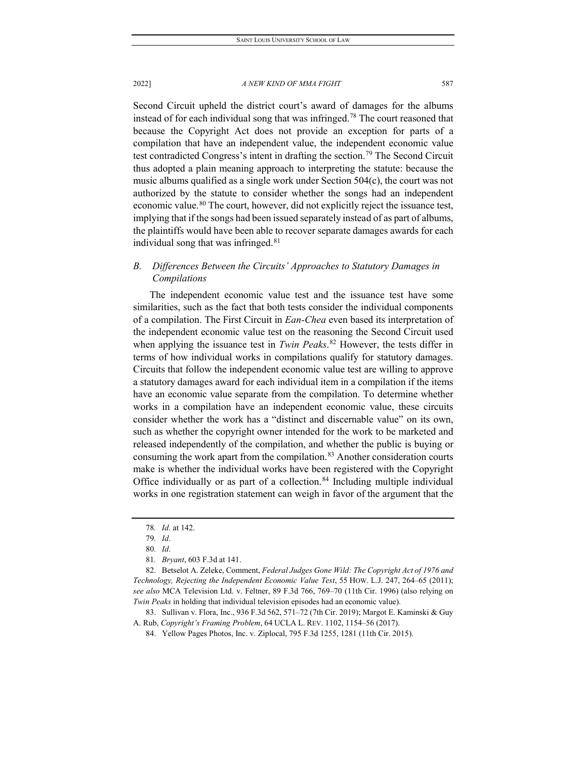Second Circuit upheld the district court's award of damages for the albums instead of for each individual song that was infringed.<sup>[78](#page-11-0)</sup> The court reasoned that because the Copyright Act does not provide an exception for parts of a compilation that have an independent value, the independent economic value test contradicted Congress's intent in drafting the section.<sup>[79](#page-11-1)</sup> The Second Circuit thus adopted a plain meaning approach to interpreting the statute: because the music albums qualified as a single work under Section 504(c), the court was not authorized by the statute to consider whether the songs had an independent economic value.<sup>[80](#page-11-2)</sup> The court, however, did not explicitly reject the issuance test, implying that if the songs had been issued separately instead of as part of albums,

the plaintiffs would have been able to recover separate damages awards for each

## *B. Differences Between the Circuits' Approaches to Statutory Damages in Compilations*

The independent economic value test and the issuance test have some similarities, such as the fact that both tests consider the individual components of a compilation. The First Circuit in *Ean-Chea* even based its interpretation of the independent economic value test on the reasoning the Second Circuit used when applying the issuance test in *Twin Peaks*. [82](#page-11-4) However, the tests differ in terms of how individual works in compilations qualify for statutory damages. Circuits that follow the independent economic value test are willing to approve a statutory damages award for each individual item in a compilation if the items have an economic value separate from the compilation. To determine whether works in a compilation have an independent economic value, these circuits consider whether the work has a "distinct and discernable value" on its own, such as whether the copyright owner intended for the work to be marketed and released independently of the compilation, and whether the public is buying or consuming the work apart from the compilation.<sup>[83](#page-11-5)</sup> Another consideration courts make is whether the individual works have been registered with the Copyright Office individually or as part of a collection.<sup>[84](#page-11-6)</sup> Including multiple individual works in one registration statement can weigh in favor of the argument that the

individual song that was infringed.<sup>[81](#page-11-3)</sup>

<span id="page-11-4"></span><span id="page-11-3"></span><span id="page-11-2"></span><span id="page-11-1"></span><span id="page-11-0"></span>82. Betselot A. Zeleke, Comment, *Federal Judges Gone Wild: The Copyright Act of 1976 and Technology, Rejecting the Independent Economic Value Test*, 55 HOW. L.J. 247, 264–65 (2011); *see also* MCA Television Ltd. v. Feltner, 89 F.3d 766, 769–70 (11th Cir. 1996) (also relying on *Twin Peaks* in holding that individual television episodes had an economic value).

<span id="page-11-6"></span><span id="page-11-5"></span>83. Sullivan v. Flora, Inc., 936 F.3d 562, 571–72 (7th Cir. 2019); Margot E. Kaminski & Guy A. Rub, *Copyright's Framing Problem*, 64 UCLA L. REV. 1102, 1154–56 (2017).

84. Yellow Pages Photos, Inc. v. Ziplocal, 795 F.3d 1255, 1281 (11th Cir. 2015).

<sup>78</sup>*. Id.* at 142.

<sup>79</sup>*. Id*.

<sup>80</sup>*. Id*.

<sup>81</sup>*. Bryant*, 603 F.3d at 141.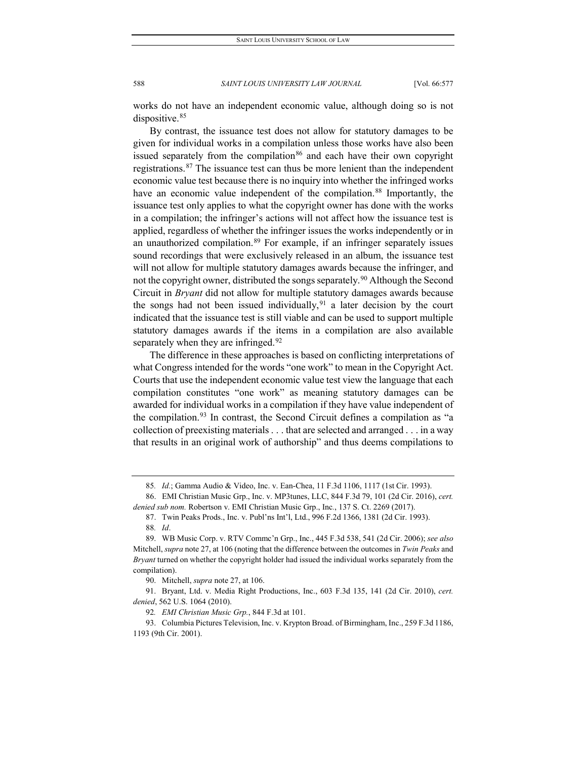works do not have an independent economic value, although doing so is not dispositive.<sup>[85](#page-12-0)</sup>

By contrast, the issuance test does not allow for statutory damages to be given for individual works in a compilation unless those works have also been issued separately from the compilation<sup>[86](#page-12-1)</sup> and each have their own copyright registrations.<sup>[87](#page-12-2)</sup> The issuance test can thus be more lenient than the independent economic value test because there is no inquiry into whether the infringed works have an economic value independent of the compilation.<sup>[88](#page-12-3)</sup> Importantly, the issuance test only applies to what the copyright owner has done with the works in a compilation; the infringer's actions will not affect how the issuance test is applied, regardless of whether the infringer issues the works independently or in an unauthorized compilation.<sup>[89](#page-12-4)</sup> For example, if an infringer separately issues sound recordings that were exclusively released in an album, the issuance test will not allow for multiple statutory damages awards because the infringer, and not the copyright owner, distributed the songs separately.<sup>[90](#page-12-5)</sup> Although the Second Circuit in *Bryant* did not allow for multiple statutory damages awards because the songs had not been issued individually,  $91$  a later decision by the court indicated that the issuance test is still viable and can be used to support multiple statutory damages awards if the items in a compilation are also available separately when they are infringed.<sup>[92](#page-12-7)</sup>

The difference in these approaches is based on conflicting interpretations of what Congress intended for the words "one work" to mean in the Copyright Act. Courts that use the independent economic value test view the language that each compilation constitutes "one work" as meaning statutory damages can be awarded for individual works in a compilation if they have value independent of the compilation.<sup>[93](#page-12-8)</sup> In contrast, the Second Circuit defines a compilation as "a collection of preexisting materials . . . that are selected and arranged . . . in a way that results in an original work of authorship" and thus deems compilations to

<sup>85</sup>*. Id.*; Gamma Audio & Video, Inc. v. Ean-Chea, 11 F.3d 1106, 1117 (1st Cir. 1993).

<span id="page-12-2"></span><span id="page-12-1"></span><span id="page-12-0"></span><sup>86.</sup> EMI Christian Music Grp., Inc. v. MP3tunes, LLC, 844 F.3d 79, 101 (2d Cir. 2016), *cert. denied sub nom.* Robertson v. EMI Christian Music Grp., Inc*.*, 137 S. Ct. 2269 (2017).

<sup>87.</sup> Twin Peaks Prods., Inc. v. Publ'ns Int'l, Ltd., 996 F.2d 1366, 1381 (2d Cir. 1993). 88*. Id*.

<span id="page-12-4"></span><span id="page-12-3"></span><sup>89.</sup> WB Music Corp. v. RTV Commc'n Grp., Inc., 445 F.3d 538, 541 (2d Cir. 2006); *see also* Mitchell, *supra* note 27, at 106 (noting that the difference between the outcomes in *Twin Peaks* and *Bryant* turned on whether the copyright holder had issued the individual works separately from the compilation).

<sup>90.</sup> Mitchell, *supra* note 27, at 106.

<span id="page-12-6"></span><span id="page-12-5"></span><sup>91.</sup> Bryant, Ltd. v. Media Right Productions, Inc., 603 F.3d 135, 141 (2d Cir. 2010), *cert. denied*, 562 U.S. 1064 (2010).

<sup>92</sup>*. EMI Christian Music Grp.*, 844 F.3d at 101.

<span id="page-12-8"></span><span id="page-12-7"></span><sup>93.</sup> Columbia Pictures Television, Inc. v. Krypton Broad. of Birmingham, Inc., 259 F.3d 1186, 1193 (9th Cir. 2001).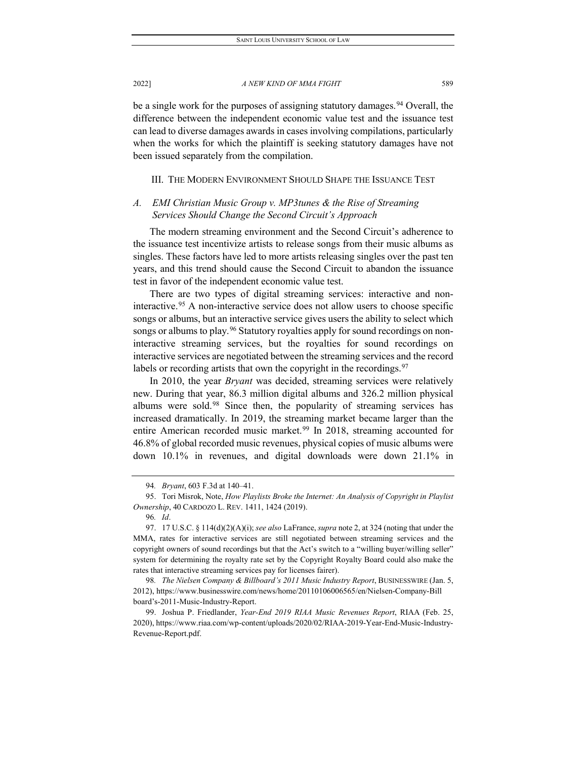be a single work for the purposes of assigning statutory damages.<sup>[94](#page-13-0)</sup> Overall, the difference between the independent economic value test and the issuance test can lead to diverse damages awards in cases involving compilations, particularly when the works for which the plaintiff is seeking statutory damages have not been issued separately from the compilation.

III. THE MODERN ENVIRONMENT SHOULD SHAPE THE ISSUANCE TEST

## *A. EMI Christian Music Group v. MP3tunes & the Rise of Streaming Services Should Change the Second Circuit's Approach*

The modern streaming environment and the Second Circuit's adherence to the issuance test incentivize artists to release songs from their music albums as singles. These factors have led to more artists releasing singles over the past ten years, and this trend should cause the Second Circuit to abandon the issuance test in favor of the independent economic value test.

There are two types of digital streaming services: interactive and noninteractive.[95](#page-13-1) A non-interactive service does not allow users to choose specific songs or albums, but an interactive service gives users the ability to select which songs or albums to play.<sup>[96](#page-13-2)</sup> Statutory royalties apply for sound recordings on noninteractive streaming services, but the royalties for sound recordings on interactive services are negotiated between the streaming services and the record labels or recording artists that own the copyright in the recordings.  $97$ 

In 2010, the year *Bryant* was decided, streaming services were relatively new. During that year, 86.3 million digital albums and 326.2 million physical albums were sold.<sup>[98](#page-13-4)</sup> Since then, the popularity of streaming services has increased dramatically. In 2019, the streaming market became larger than the entire American recorded music market.<sup>[99](#page-13-5)</sup> In 2018, streaming accounted for 46.8% of global recorded music revenues, physical copies of music albums were down 10.1% in revenues, and digital downloads were down 21.1% in

<sup>94</sup>*. Bryant*, 603 F.3d at 140–41.

<span id="page-13-1"></span><span id="page-13-0"></span><sup>95.</sup> Tori Misrok, Note, *How Playlists Broke the Internet: An Analysis of Copyright in Playlist Ownership*, 40 CARDOZO L. REV. 1411, 1424 (2019).

<sup>96</sup>*. Id*.

<span id="page-13-3"></span><span id="page-13-2"></span><sup>97.</sup> 17 U.S.C. § 114(d)(2)(A)(i); *see also* LaFrance, *supra* note 2, at 324 (noting that under the MMA, rates for interactive services are still negotiated between streaming services and the copyright owners of sound recordings but that the Act's switch to a "willing buyer/willing seller" system for determining the royalty rate set by the Copyright Royalty Board could also make the rates that interactive streaming services pay for licenses fairer).

<span id="page-13-4"></span><sup>98</sup>*. The Nielsen Company & Billboard's 2011 Music Industry Report*, BUSINESSWIRE (Jan. 5, 2012), https://www.businesswire.com/news/home/20110106006565/en/Nielsen-Company-Bill board's-2011-Music-Industry-Report.

<span id="page-13-5"></span><sup>99.</sup> Joshua P. Friedlander, *Year-End 2019 RIAA Music Revenues Report*, RIAA (Feb. 25, 2020), https://www.riaa.com/wp-content/uploads/2020/02/RIAA-2019-Year-End-Music-Industry-Revenue-Report.pdf.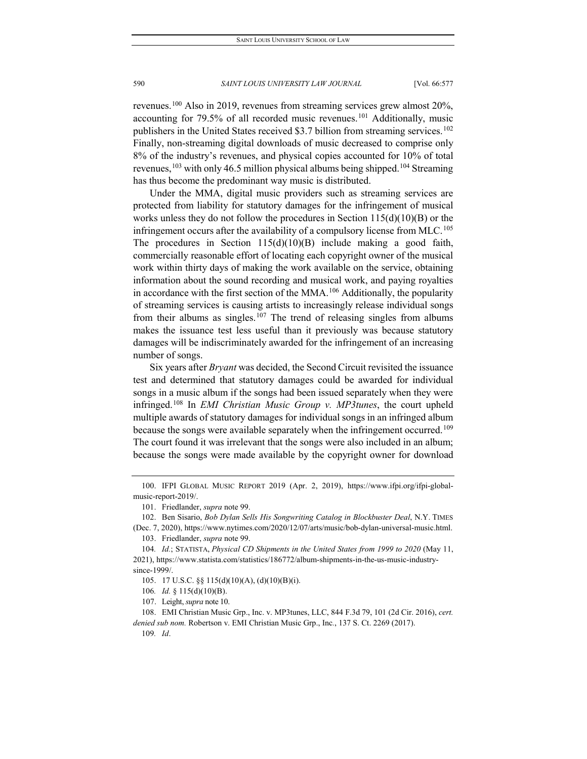revenues.[100](#page-14-0) Also in 2019, revenues from streaming services grew almost 20%, accounting for 79.5% of all recorded music revenues.<sup>[101](#page-14-1)</sup> Additionally, music publishers in the United States received \$3.7 billion from streaming services.<sup>[102](#page-14-2)</sup> Finally, non-streaming digital downloads of music decreased to comprise only 8% of the industry's revenues, and physical copies accounted for 10% of total revenues,  $103$  with only 46.5 million physical albums being shipped.<sup>[104](#page-14-4)</sup> Streaming has thus become the predominant way music is distributed.

Under the MMA, digital music providers such as streaming services are protected from liability for statutory damages for the infringement of musical works unless they do not follow the procedures in Section  $115(d)(10)(B)$  or the infringement occurs after the availability of a compulsory license from MLC.<sup>[105](#page-14-5)</sup> The procedures in Section 115(d)(10)(B) include making a good faith, commercially reasonable effort of locating each copyright owner of the musical work within thirty days of making the work available on the service, obtaining information about the sound recording and musical work, and paying royalties in accordance with the first section of the MMA.[106](#page-14-6) Additionally, the popularity of streaming services is causing artists to increasingly release individual songs from their albums as singles.<sup>[107](#page-14-7)</sup> The trend of releasing singles from albums makes the issuance test less useful than it previously was because statutory damages will be indiscriminately awarded for the infringement of an increasing number of songs.

Six years after *Bryant* was decided, the Second Circuit revisited the issuance test and determined that statutory damages could be awarded for individual songs in a music album if the songs had been issued separately when they were infringed.[108](#page-14-8) In *EMI Christian Music Group v. MP3tunes*, the court upheld multiple awards of statutory damages for individual songs in an infringed album because the songs were available separately when the infringement occurred.<sup>[109](#page-14-9)</sup> The court found it was irrelevant that the songs were also included in an album; because the songs were made available by the copyright owner for download

<span id="page-14-9"></span><span id="page-14-8"></span><span id="page-14-7"></span>108. EMI Christian Music Grp., Inc. v. MP3tunes, LLC, 844 F.3d 79, 101 (2d Cir. 2016), *cert. denied sub nom.* Robertson v. EMI Christian Music Grp., Inc*.*, 137 S. Ct. 2269 (2017).

109*. Id*.

<span id="page-14-0"></span><sup>100.</sup> IFPI GLOBAL MUSIC REPORT 2019 (Apr. 2, 2019), https://www.ifpi.org/ifpi-globalmusic-report-2019/.

<sup>101.</sup> Friedlander, *supra* note 99.

<span id="page-14-2"></span><span id="page-14-1"></span><sup>102.</sup> Ben Sisario, *Bob Dylan Sells His Songwriting Catalog in Blockbuster Deal*, N.Y. TIMES (Dec. 7, 2020), https://www.nytimes.com/2020/12/07/arts/music/bob-dylan-universal-music.html.

<sup>103.</sup> Friedlander, *supra* note 99.

<span id="page-14-4"></span><span id="page-14-3"></span><sup>104</sup>*. Id.*; STATISTA, *Physical CD Shipments in the United States from 1999 to 2020* (May 11, 2021), https://www.statista.com/statistics/186772/album-shipments-in-the-us-music-industry-

<span id="page-14-6"></span><span id="page-14-5"></span>since-1999/.

<sup>105.</sup> 17 U.S.C. §§ 115(d)(10)(A), (d)(10)(B)(i).

<sup>106</sup>*. Id.* § 115(d)(10)(B).

<sup>107.</sup> Leight, *supra* note 10.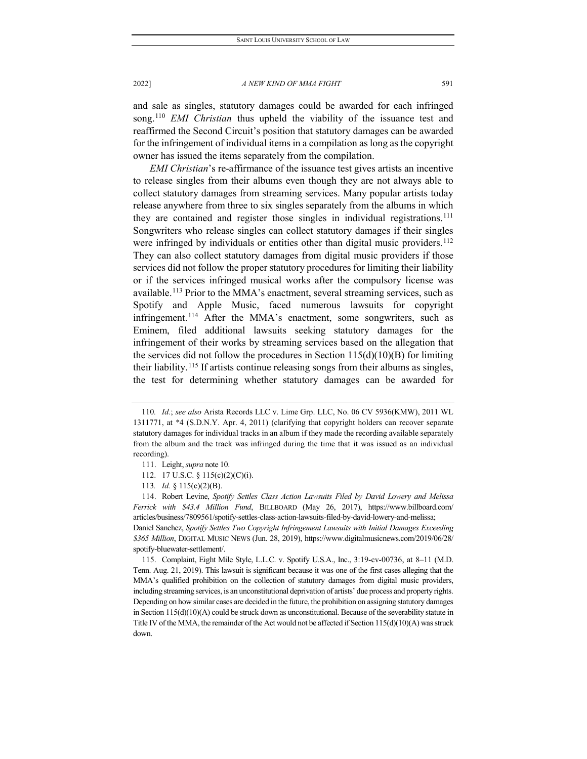and sale as singles, statutory damages could be awarded for each infringed song.[110](#page-15-0) *EMI Christian* thus upheld the viability of the issuance test and reaffirmed the Second Circuit's position that statutory damages can be awarded for the infringement of individual items in a compilation as long as the copyright owner has issued the items separately from the compilation.

*EMI Christian*'s re-affirmance of the issuance test gives artists an incentive to release singles from their albums even though they are not always able to collect statutory damages from streaming services. Many popular artists today release anywhere from three to six singles separately from the albums in which they are contained and register those singles in individual registrations[.111](#page-15-1) Songwriters who release singles can collect statutory damages if their singles were infringed by individuals or entities other than digital music providers.<sup>[112](#page-15-2)</sup> They can also collect statutory damages from digital music providers if those services did not follow the proper statutory procedures for limiting their liability or if the services infringed musical works after the compulsory license was available.[113](#page-15-3) Prior to the MMA's enactment, several streaming services, such as Spotify and Apple Music, faced numerous lawsuits for copyright infringement.[114](#page-15-4) After the MMA's enactment, some songwriters, such as Eminem, filed additional lawsuits seeking statutory damages for the infringement of their works by streaming services based on the allegation that the services did not follow the procedures in Section  $115(d)(10)(B)$  for limiting their liability.[115](#page-15-5) If artists continue releasing songs from their albums as singles, the test for determining whether statutory damages can be awarded for

<span id="page-15-0"></span><sup>110</sup>*. Id.*; *see also* Arista Records LLC v. Lime Grp. LLC, No. 06 CV 5936(KMW), 2011 WL 1311771, at \*4 (S.D.N.Y. Apr. 4, 2011) (clarifying that copyright holders can recover separate statutory damages for individual tracks in an album if they made the recording available separately from the album and the track was infringed during the time that it was issued as an individual recording).

<sup>111.</sup> Leight, *supra* note 10.

<sup>112.</sup> 17 U.S.C. § 115(c)(2)(C)(i).

<sup>113</sup>*. Id.* § 115(c)(2)(B).

<span id="page-15-4"></span><span id="page-15-3"></span><span id="page-15-2"></span><span id="page-15-1"></span><sup>114.</sup> Robert Levine, *Spotify Settles Class Action Lawsuits Filed by David Lowery and Melissa Ferrick with \$43.4 Million Fund*, BILLBOARD (May 26, 2017), https://www.billboard.com/ articles/business/7809561/spotify-settles-class-action-lawsuits-filed-by-david-lowery-and-melissa; Daniel Sanchez, *Spotify Settles Two Copyright Infringement Lawsuits with Initial Damages Exceeding \$365 Million*, DIGITAL MUSIC NEWS (Jun. 28, 2019), https://www.digitalmusicnews.com/2019/06/28/

<span id="page-15-5"></span>spotify-bluewater-settlement/. 115. Complaint, Eight Mile Style, L.L.C. v. Spotify U.S.A., Inc., 3:19-cv-00736, at 8–11 (M.D. Tenn. Aug. 21, 2019). This lawsuit is significant because it was one of the first cases alleging that the MMA's qualified prohibition on the collection of statutory damages from digital music providers, including streaming services, is an unconstitutional deprivation of artists' due process and property rights. Depending on how similar cases are decided in the future, the prohibition on assigning statutory damages in Section  $115(d)(10)(A)$  could be struck down as unconstitutional. Because of the severability statute in Title IV of the MMA, the remainder of the Act would not be affected if Section 115(d)(10)(A) wasstruck down.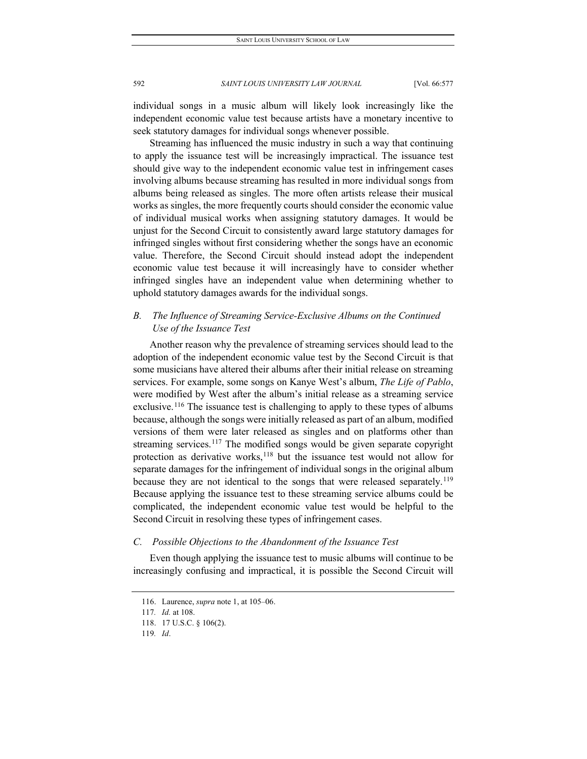individual songs in a music album will likely look increasingly like the independent economic value test because artists have a monetary incentive to seek statutory damages for individual songs whenever possible.

Streaming has influenced the music industry in such a way that continuing to apply the issuance test will be increasingly impractical. The issuance test should give way to the independent economic value test in infringement cases involving albums because streaming has resulted in more individual songs from albums being released as singles. The more often artists release their musical works as singles, the more frequently courts should consider the economic value of individual musical works when assigning statutory damages. It would be unjust for the Second Circuit to consistently award large statutory damages for infringed singles without first considering whether the songs have an economic value. Therefore, the Second Circuit should instead adopt the independent economic value test because it will increasingly have to consider whether infringed singles have an independent value when determining whether to uphold statutory damages awards for the individual songs.

## *B. The Influence of Streaming Service-Exclusive Albums on the Continued Use of the Issuance Test*

Another reason why the prevalence of streaming services should lead to the adoption of the independent economic value test by the Second Circuit is that some musicians have altered their albums after their initial release on streaming services. For example, some songs on Kanye West's album, *The Life of Pablo*, were modified by West after the album's initial release as a streaming service exclusive.<sup>[116](#page-16-0)</sup> The issuance test is challenging to apply to these types of albums because, although the songs were initially released as part of an album, modified versions of them were later released as singles and on platforms other than streaming services.<sup>[117](#page-16-1)</sup> The modified songs would be given separate copyright protection as derivative works, $118$  but the issuance test would not allow for separate damages for the infringement of individual songs in the original album because they are not identical to the songs that were released separately.<sup>[119](#page-16-3)</sup> Because applying the issuance test to these streaming service albums could be complicated, the independent economic value test would be helpful to the Second Circuit in resolving these types of infringement cases.

## *C. Possible Objections to the Abandonment of the Issuance Test*

<span id="page-16-0"></span>Even though applying the issuance test to music albums will continue to be increasingly confusing and impractical, it is possible the Second Circuit will

<sup>116.</sup> Laurence, *supra* note 1, at 105–06.

<span id="page-16-1"></span><sup>117</sup>*. Id.* at 108.

<span id="page-16-2"></span><sup>118.</sup> 17 U.S.C. § 106(2).

<span id="page-16-3"></span><sup>119</sup>*. Id*.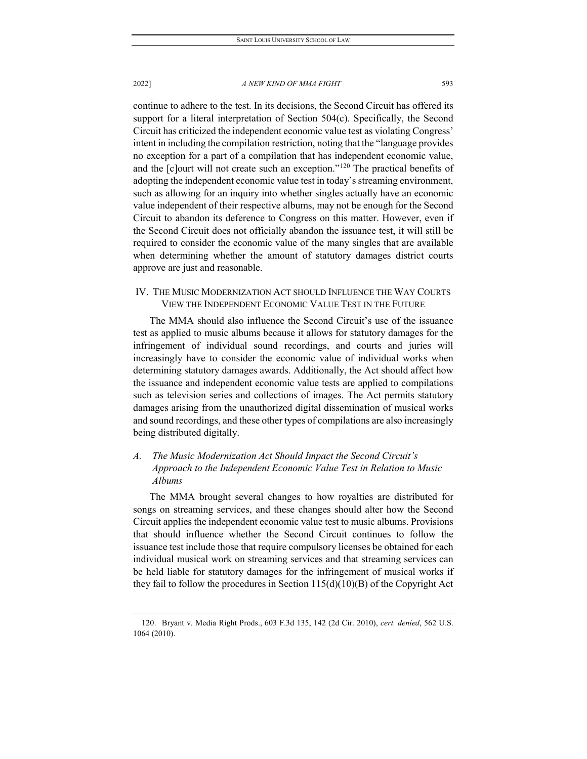continue to adhere to the test. In its decisions, the Second Circuit has offered its support for a literal interpretation of Section 504(c). Specifically, the Second Circuit has criticized the independent economic value test as violating Congress' intent in including the compilation restriction, noting that the "language provides no exception for a part of a compilation that has independent economic value, and the [c]ourt will not create such an exception."[120](#page-17-0) The practical benefits of adopting the independent economic value test in today's streaming environment, such as allowing for an inquiry into whether singles actually have an economic value independent of their respective albums, may not be enough for the Second Circuit to abandon its deference to Congress on this matter. However, even if the Second Circuit does not officially abandon the issuance test, it will still be required to consider the economic value of the many singles that are available when determining whether the amount of statutory damages district courts approve are just and reasonable.

## IV. THE MUSIC MODERNIZATION ACT SHOULD INFLUENCE THE WAY COURTS VIEW THE INDEPENDENT ECONOMIC VALUE TEST IN THE FUTURE

The MMA should also influence the Second Circuit's use of the issuance test as applied to music albums because it allows for statutory damages for the infringement of individual sound recordings, and courts and juries will increasingly have to consider the economic value of individual works when determining statutory damages awards. Additionally, the Act should affect how the issuance and independent economic value tests are applied to compilations such as television series and collections of images. The Act permits statutory damages arising from the unauthorized digital dissemination of musical works and sound recordings, and these other types of compilations are also increasingly being distributed digitally.

## *A. The Music Modernization Act Should Impact the Second Circuit's Approach to the Independent Economic Value Test in Relation to Music Albums*

The MMA brought several changes to how royalties are distributed for songs on streaming services, and these changes should alter how the Second Circuit applies the independent economic value test to music albums. Provisions that should influence whether the Second Circuit continues to follow the issuance test include those that require compulsory licenses be obtained for each individual musical work on streaming services and that streaming services can be held liable for statutory damages for the infringement of musical works if they fail to follow the procedures in Section  $115(d)(10)(B)$  of the Copyright Act

<span id="page-17-0"></span><sup>120.</sup> Bryant v. Media Right Prods., 603 F.3d 135, 142 (2d Cir. 2010), *cert. denied*, 562 U.S. 1064 (2010).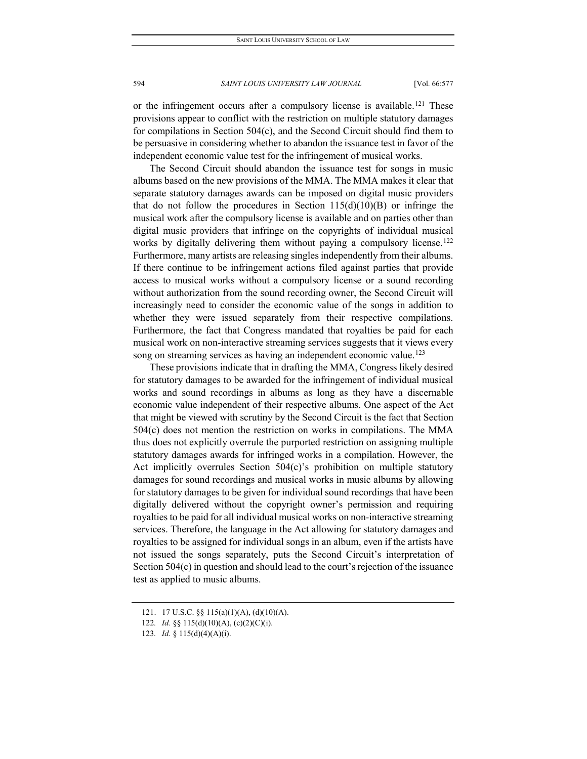or the infringement occurs after a compulsory license is available.<sup>[121](#page-18-0)</sup> These provisions appear to conflict with the restriction on multiple statutory damages for compilations in Section 504(c), and the Second Circuit should find them to be persuasive in considering whether to abandon the issuance test in favor of the independent economic value test for the infringement of musical works.

The Second Circuit should abandon the issuance test for songs in music albums based on the new provisions of the MMA. The MMA makes it clear that separate statutory damages awards can be imposed on digital music providers that do not follow the procedures in Section  $115(d)(10)(B)$  or infringe the musical work after the compulsory license is available and on parties other than digital music providers that infringe on the copyrights of individual musical works by digitally delivering them without paying a compulsory license.<sup>[122](#page-18-1)</sup> Furthermore, many artists are releasing singles independently from their albums. If there continue to be infringement actions filed against parties that provide access to musical works without a compulsory license or a sound recording without authorization from the sound recording owner, the Second Circuit will increasingly need to consider the economic value of the songs in addition to whether they were issued separately from their respective compilations. Furthermore, the fact that Congress mandated that royalties be paid for each musical work on non-interactive streaming services suggests that it views every song on streaming services as having an independent economic value.<sup>[123](#page-18-2)</sup>

These provisions indicate that in drafting the MMA, Congress likely desired for statutory damages to be awarded for the infringement of individual musical works and sound recordings in albums as long as they have a discernable economic value independent of their respective albums. One aspect of the Act that might be viewed with scrutiny by the Second Circuit is the fact that Section 504(c) does not mention the restriction on works in compilations. The MMA thus does not explicitly overrule the purported restriction on assigning multiple statutory damages awards for infringed works in a compilation. However, the Act implicitly overrules Section 504(c)'s prohibition on multiple statutory damages for sound recordings and musical works in music albums by allowing for statutory damages to be given for individual sound recordings that have been digitally delivered without the copyright owner's permission and requiring royalties to be paid for all individual musical works on non-interactive streaming services. Therefore, the language in the Act allowing for statutory damages and royalties to be assigned for individual songs in an album, even if the artists have not issued the songs separately, puts the Second Circuit's interpretation of Section 504(c) in question and should lead to the court's rejection of the issuance test as applied to music albums.

<sup>121.</sup> 17 U.S.C. §§ 115(a)(1)(A), (d)(10)(A).

<span id="page-18-2"></span><span id="page-18-1"></span><span id="page-18-0"></span><sup>122</sup>*. Id.* §§ 115(d)(10)(A), (c)(2)(C)(i).

<sup>123</sup>*. Id.* § 115(d)(4)(A)(i).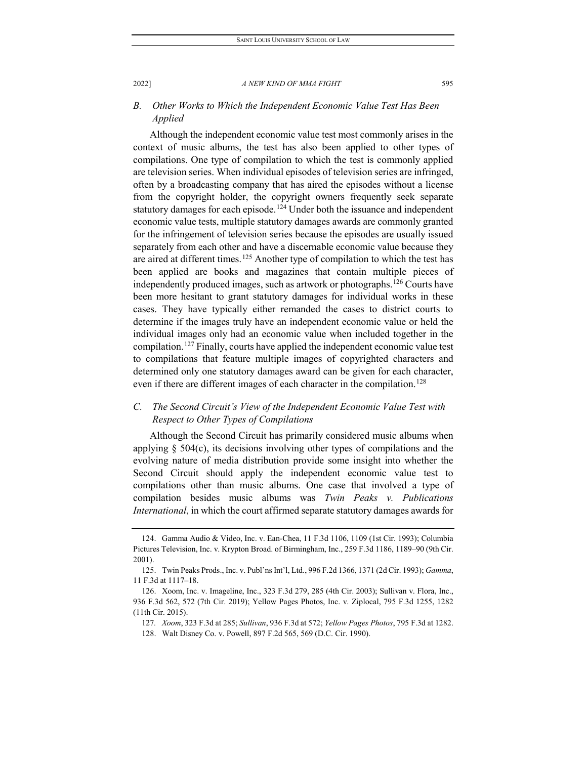## *B. Other Works to Which the Independent Economic Value Test Has Been Applied*

Although the independent economic value test most commonly arises in the context of music albums, the test has also been applied to other types of compilations. One type of compilation to which the test is commonly applied are television series. When individual episodes of television series are infringed, often by a broadcasting company that has aired the episodes without a license from the copyright holder, the copyright owners frequently seek separate statutory damages for each episode.<sup>[124](#page-19-0)</sup> Under both the issuance and independent economic value tests, multiple statutory damages awards are commonly granted for the infringement of television series because the episodes are usually issued separately from each other and have a discernable economic value because they are aired at different times.<sup>[125](#page-19-1)</sup> Another type of compilation to which the test has been applied are books and magazines that contain multiple pieces of independently produced images, such as artwork or photographs.[126](#page-19-2) Courts have been more hesitant to grant statutory damages for individual works in these cases. They have typically either remanded the cases to district courts to determine if the images truly have an independent economic value or held the individual images only had an economic value when included together in the compilation.[127](#page-19-3) Finally, courts have applied the independent economic value test to compilations that feature multiple images of copyrighted characters and determined only one statutory damages award can be given for each character, even if there are different images of each character in the compilation.<sup>[128](#page-19-4)</sup>

## *C. The Second Circuit's View of the Independent Economic Value Test with Respect to Other Types of Compilations*

Although the Second Circuit has primarily considered music albums when applying § 504(c), its decisions involving other types of compilations and the evolving nature of media distribution provide some insight into whether the Second Circuit should apply the independent economic value test to compilations other than music albums. One case that involved a type of compilation besides music albums was *Twin Peaks v. Publications International*, in which the court affirmed separate statutory damages awards for

<span id="page-19-0"></span><sup>124.</sup> Gamma Audio & Video, Inc. v. Ean-Chea, 11 F.3d 1106, 1109 (1st Cir. 1993); Columbia Pictures Television, Inc. v. Krypton Broad. of Birmingham, Inc., 259 F.3d 1186, 1189–90 (9th Cir. 2001).

<span id="page-19-1"></span><sup>125.</sup> Twin Peaks Prods., Inc. v. Publ'ns Int'l, Ltd., 996 F.2d 1366, 1371 (2d Cir. 1993); *Gamma*, 11 F.3d at 1117–18.

<span id="page-19-4"></span><span id="page-19-3"></span><span id="page-19-2"></span><sup>126.</sup> Xoom, Inc. v. Imageline, Inc., 323 F.3d 279, 285 (4th Cir. 2003); Sullivan v. Flora, Inc., 936 F.3d 562, 572 (7th Cir. 2019); Yellow Pages Photos, Inc. v. Ziplocal, 795 F.3d 1255, 1282 (11th Cir. 2015).

<sup>127</sup>*. Xoom*, 323 F.3d at 285; *Sullivan*, 936 F.3d at 572; *Yellow Pages Photos*, 795 F.3d at 1282. 128. Walt Disney Co. v. Powell, 897 F.2d 565, 569 (D.C. Cir. 1990).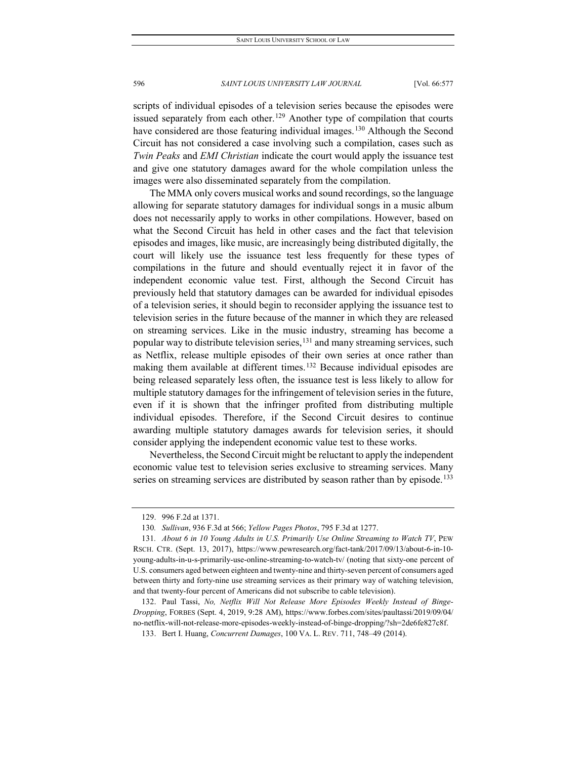scripts of individual episodes of a television series because the episodes were issued separately from each other.<sup>[129](#page-20-0)</sup> Another type of compilation that courts have considered are those featuring individual images.<sup>[130](#page-20-1)</sup> Although the Second Circuit has not considered a case involving such a compilation, cases such as *Twin Peaks* and *EMI Christian* indicate the court would apply the issuance test and give one statutory damages award for the whole compilation unless the images were also disseminated separately from the compilation.

The MMA only covers musical works and sound recordings, so the language allowing for separate statutory damages for individual songs in a music album does not necessarily apply to works in other compilations. However, based on what the Second Circuit has held in other cases and the fact that television episodes and images, like music, are increasingly being distributed digitally, the court will likely use the issuance test less frequently for these types of compilations in the future and should eventually reject it in favor of the independent economic value test. First, although the Second Circuit has previously held that statutory damages can be awarded for individual episodes of a television series, it should begin to reconsider applying the issuance test to television series in the future because of the manner in which they are released on streaming services. Like in the music industry, streaming has become a popular way to distribute television series,  $131$  and many streaming services, such as Netflix, release multiple episodes of their own series at once rather than making them available at different times.<sup>[132](#page-20-3)</sup> Because individual episodes are being released separately less often, the issuance test is less likely to allow for multiple statutory damages for the infringement of television series in the future, even if it is shown that the infringer profited from distributing multiple individual episodes. Therefore, if the Second Circuit desires to continue awarding multiple statutory damages awards for television series, it should consider applying the independent economic value test to these works.

Nevertheless, the Second Circuit might be reluctant to apply the independent economic value test to television series exclusive to streaming services. Many series on streaming services are distributed by season rather than by episode.<sup>[133](#page-20-4)</sup>

<sup>129.</sup> 996 F.2d at 1371.

<sup>130</sup>*. Sullivan*, 936 F.3d at 566; *Yellow Pages Photos*, 795 F.3d at 1277.

<span id="page-20-2"></span><span id="page-20-1"></span><span id="page-20-0"></span><sup>131</sup>*. About 6 in 10 Young Adults in U.S. Primarily Use Online Streaming to Watch TV*, PEW RSCH. CTR. (Sept. 13, 2017), https://www.pewresearch.org/fact-tank/2017/09/13/about-6-in-10 young-adults-in-u-s-primarily-use-online-streaming-to-watch-tv/ (noting that sixty-one percent of U.S. consumers aged between eighteen and twenty-nine and thirty-seven percent of consumers aged between thirty and forty-nine use streaming services as their primary way of watching television, and that twenty-four percent of Americans did not subscribe to cable television).

<span id="page-20-4"></span><span id="page-20-3"></span><sup>132.</sup> Paul Tassi, *No, Netflix Will Not Release More Episodes Weekly Instead of Binge-Dropping*, FORBES (Sept. 4, 2019, 9:28 AM), https://www.forbes.com/sites/paultassi/2019/09/04/ no-netflix-will-not-release-more-episodes-weekly-instead-of-binge-dropping/?sh=2de6fe827c8f.

<sup>133.</sup> Bert I. Huang, *Concurrent Damages*, 100 VA. L. REV. 711, 748–49 (2014).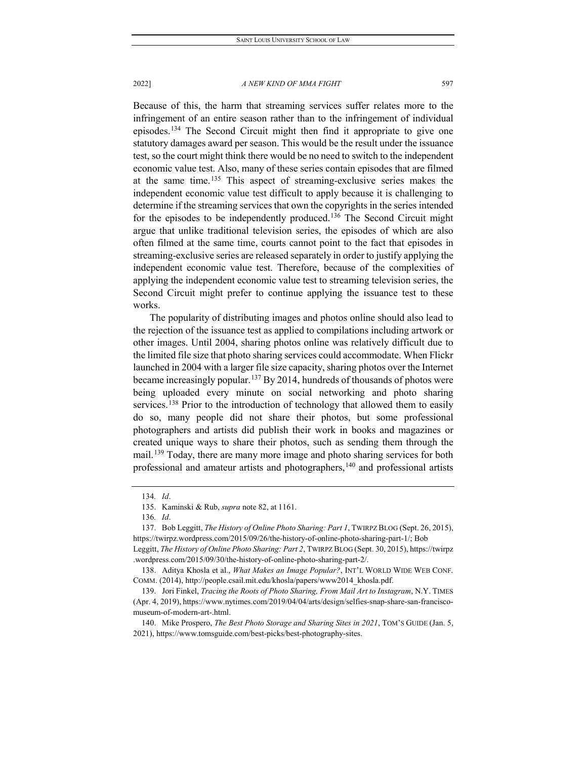Because of this, the harm that streaming services suffer relates more to the infringement of an entire season rather than to the infringement of individual episodes.[134](#page-21-0) The Second Circuit might then find it appropriate to give one statutory damages award per season. This would be the result under the issuance test, so the court might think there would be no need to switch to the independent economic value test. Also, many of these series contain episodes that are filmed at the same time.[135](#page-21-1) This aspect of streaming-exclusive series makes the independent economic value test difficult to apply because it is challenging to determine if the streaming services that own the copyrights in the series intended for the episodes to be independently produced.[136](#page-21-2) The Second Circuit might argue that unlike traditional television series, the episodes of which are also often filmed at the same time, courts cannot point to the fact that episodes in streaming-exclusive series are released separately in order to justify applying the independent economic value test. Therefore, because of the complexities of applying the independent economic value test to streaming television series, the Second Circuit might prefer to continue applying the issuance test to these works.

The popularity of distributing images and photos online should also lead to the rejection of the issuance test as applied to compilations including artwork or other images. Until 2004, sharing photos online was relatively difficult due to the limited file size that photo sharing services could accommodate. When Flickr launched in 2004 with a larger file size capacity, sharing photos over the Internet became increasingly popular.<sup>[137](#page-21-3)</sup> By 2014, hundreds of thousands of photos were being uploaded every minute on social networking and photo sharing services.<sup>[138](#page-21-4)</sup> Prior to the introduction of technology that allowed them to easily do so, many people did not share their photos, but some professional photographers and artists did publish their work in books and magazines or created unique ways to share their photos, such as sending them through the mail.<sup>[139](#page-21-5)</sup> Today, there are many more image and photo sharing services for both professional and amateur artists and photographers,<sup>[140](#page-21-6)</sup> and professional artists

<sup>134</sup>*. Id*.

<sup>135.</sup> Kaminski & Rub, *supra* note 82, at 1161.

<sup>136</sup>*. Id*.

<span id="page-21-3"></span><span id="page-21-2"></span><span id="page-21-1"></span><span id="page-21-0"></span><sup>137.</sup> Bob Leggitt, *The History of Online Photo Sharing: Part 1*, TWIRPZ BLOG (Sept. 26, 2015), https://twirpz.wordpress.com/2015/09/26/the-history-of-online-photo-sharing-part-1/; Bob

Leggitt, *The History of Online Photo Sharing: Part 2*, TWIRPZ BLOG (Sept. 30, 2015), https://twirpz .wordpress.com/2015/09/30/the-history-of-online-photo-sharing-part-2/.

<span id="page-21-4"></span><sup>138.</sup> Aditya Khosla et al., *What Makes an Image Popular?*, INT'L WORLD WIDE WEB CONF. COMM. (2014), http://people.csail.mit.edu/khosla/papers/www2014\_khosla.pdf.

<span id="page-21-5"></span><sup>139.</sup> Jori Finkel, *Tracing the Roots of Photo Sharing, From Mail Art to Instagram*, N.Y. TIMES (Apr. 4, 2019), https://www.nytimes.com/2019/04/04/arts/design/selfies-snap-share-san-franciscomuseum-of-modern-art-.html.

<span id="page-21-6"></span><sup>140.</sup> Mike Prospero, *The Best Photo Storage and Sharing Sites in 2021*, TOM'S GUIDE (Jan. 5, 2021), https://www.tomsguide.com/best-picks/best-photography-sites.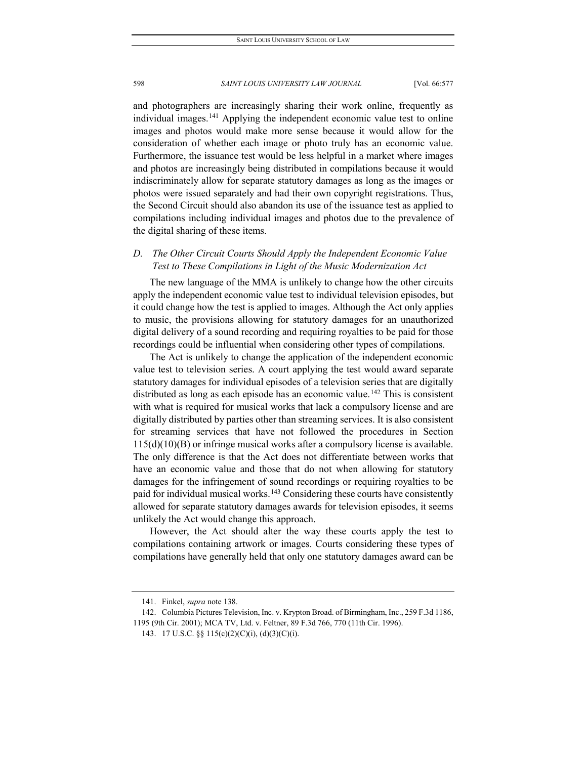and photographers are increasingly sharing their work online, frequently as individual images.<sup>[141](#page-22-0)</sup> Applying the independent economic value test to online images and photos would make more sense because it would allow for the consideration of whether each image or photo truly has an economic value. Furthermore, the issuance test would be less helpful in a market where images and photos are increasingly being distributed in compilations because it would indiscriminately allow for separate statutory damages as long as the images or photos were issued separately and had their own copyright registrations. Thus, the Second Circuit should also abandon its use of the issuance test as applied to compilations including individual images and photos due to the prevalence of the digital sharing of these items.

## *D. The Other Circuit Courts Should Apply the Independent Economic Value Test to These Compilations in Light of the Music Modernization Act*

The new language of the MMA is unlikely to change how the other circuits apply the independent economic value test to individual television episodes, but it could change how the test is applied to images. Although the Act only applies to music, the provisions allowing for statutory damages for an unauthorized digital delivery of a sound recording and requiring royalties to be paid for those recordings could be influential when considering other types of compilations.

The Act is unlikely to change the application of the independent economic value test to television series. A court applying the test would award separate statutory damages for individual episodes of a television series that are digitally distributed as long as each episode has an economic value.<sup>[142](#page-22-1)</sup> This is consistent with what is required for musical works that lack a compulsory license and are digitally distributed by parties other than streaming services. It is also consistent for streaming services that have not followed the procedures in Section  $115(d)(10)(B)$  or infringe musical works after a compulsory license is available. The only difference is that the Act does not differentiate between works that have an economic value and those that do not when allowing for statutory damages for the infringement of sound recordings or requiring royalties to be paid for individual musical works.<sup>[143](#page-22-2)</sup> Considering these courts have consistently allowed for separate statutory damages awards for television episodes, it seems unlikely the Act would change this approach.

However, the Act should alter the way these courts apply the test to compilations containing artwork or images. Courts considering these types of compilations have generally held that only one statutory damages award can be

<sup>141.</sup> Finkel, *supra* note 138.

<span id="page-22-2"></span><span id="page-22-1"></span><span id="page-22-0"></span><sup>142.</sup> Columbia Pictures Television, Inc. v. Krypton Broad. of Birmingham, Inc., 259 F.3d 1186, 1195 (9th Cir. 2001); MCA TV, Ltd. v. Feltner, 89 F.3d 766, 770 (11th Cir. 1996).

<sup>143.</sup> 17 U.S.C. §§ 115(c)(2)(C)(i), (d)(3)(C)(i).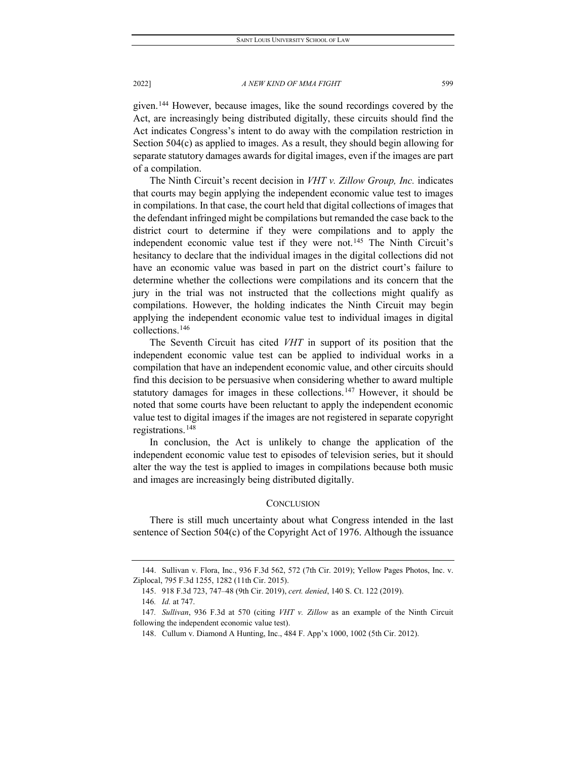given.[144](#page-23-0) However, because images, like the sound recordings covered by the Act, are increasingly being distributed digitally, these circuits should find the Act indicates Congress's intent to do away with the compilation restriction in Section 504(c) as applied to images. As a result, they should begin allowing for separate statutory damages awards for digital images, even if the images are part of a compilation.

The Ninth Circuit's recent decision in *VHT v. Zillow Group, Inc.* indicates that courts may begin applying the independent economic value test to images in compilations. In that case, the court held that digital collections of images that the defendant infringed might be compilations but remanded the case back to the district court to determine if they were compilations and to apply the independent economic value test if they were not.<sup>[145](#page-23-1)</sup> The Ninth Circuit's hesitancy to declare that the individual images in the digital collections did not have an economic value was based in part on the district court's failure to determine whether the collections were compilations and its concern that the jury in the trial was not instructed that the collections might qualify as compilations. However, the holding indicates the Ninth Circuit may begin applying the independent economic value test to individual images in digital collections.[146](#page-23-2)

The Seventh Circuit has cited *VHT* in support of its position that the independent economic value test can be applied to individual works in a compilation that have an independent economic value, and other circuits should find this decision to be persuasive when considering whether to award multiple statutory damages for images in these collections.<sup>[147](#page-23-3)</sup> However, it should be noted that some courts have been reluctant to apply the independent economic value test to digital images if the images are not registered in separate copyright registrations.[148](#page-23-4)

In conclusion, the Act is unlikely to change the application of the independent economic value test to episodes of television series, but it should alter the way the test is applied to images in compilations because both music and images are increasingly being distributed digitally.

#### **CONCLUSION**

There is still much uncertainty about what Congress intended in the last sentence of Section 504(c) of the Copyright Act of 1976. Although the issuance

<span id="page-23-1"></span><span id="page-23-0"></span><sup>144.</sup> Sullivan v. Flora, Inc., 936 F.3d 562, 572 (7th Cir. 2019); Yellow Pages Photos, Inc. v. Ziplocal, 795 F.3d 1255, 1282 (11th Cir. 2015).

<sup>145.</sup> 918 F.3d 723, 747–48 (9th Cir. 2019), *cert. denied*, 140 S. Ct. 122 (2019).

<sup>146</sup>*. Id.* at 747.

<span id="page-23-4"></span><span id="page-23-3"></span><span id="page-23-2"></span><sup>147</sup>*. Sullivan*, 936 F.3d at 570 (citing *VHT v. Zillow* as an example of the Ninth Circuit following the independent economic value test).

<sup>148.</sup> Cullum v. Diamond A Hunting, Inc., 484 F. App'x 1000, 1002 (5th Cir. 2012).